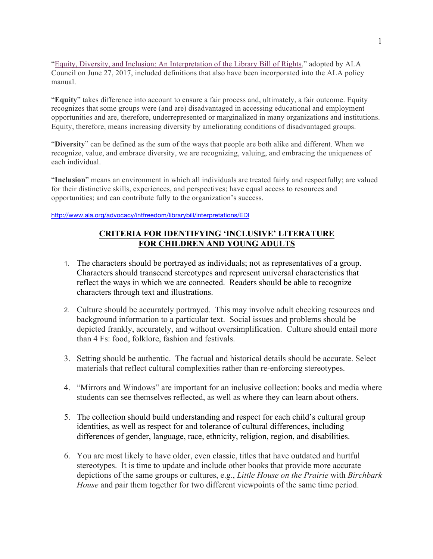"Equity, Diversity, and Inclusion: An Interpretation of the Library Bill of Rights," adopted by ALA Council on June 27, 2017, included definitions that also have been incorporated into the ALA policy manual.

"**Equity**" takes difference into account to ensure a fair process and, ultimately, a fair outcome. Equity recognizes that some groups were (and are) disadvantaged in accessing educational and employment opportunities and are, therefore, underrepresented or marginalized in many organizations and institutions. Equity, therefore, means increasing diversity by ameliorating conditions of disadvantaged groups.

"**Diversity**" can be defined as the sum of the ways that people are both alike and different. When we recognize, value, and embrace diversity, we are recognizing, valuing, and embracing the uniqueness of each individual.

"**Inclusion**" means an environment in which all individuals are treated fairly and respectfully; are valued for their distinctive skills, experiences, and perspectives; have equal access to resources and opportunities; and can contribute fully to the organization's success.

http://www.ala.org/advocacy/intfreedom/librarybill/interpretations/EDI

## **CRITERIA FOR IDENTIFYING 'INCLUSIVE' LITERATURE FOR CHILDREN AND YOUNG ADULTS**

- 1. The characters should be portrayed as individuals; not as representatives of a group. Characters should transcend stereotypes and represent universal characteristics that reflect the ways in which we are connected. Readers should be able to recognize characters through text and illustrations.
- 2. Culture should be accurately portrayed. This may involve adult checking resources and background information to a particular text. Social issues and problems should be depicted frankly, accurately, and without oversimplification. Culture should entail more than 4 Fs: food, folklore, fashion and festivals.
- 3. Setting should be authentic. The factual and historical details should be accurate. Select materials that reflect cultural complexities rather than re-enforcing stereotypes.
- 4. "Mirrors and Windows" are important for an inclusive collection: books and media where students can see themselves reflected, as well as where they can learn about others.
- 5. The collection should build understanding and respect for each child's cultural group identities, as well as respect for and tolerance of cultural differences, including differences of gender, language, race, ethnicity, religion, region, and disabilities.
- 6. You are most likely to have older, even classic, titles that have outdated and hurtful stereotypes. It is time to update and include other books that provide more accurate depictions of the same groups or cultures, e.g., *Little House on the Prairie* with *Birchbark House* and pair them together for two different viewpoints of the same time period.